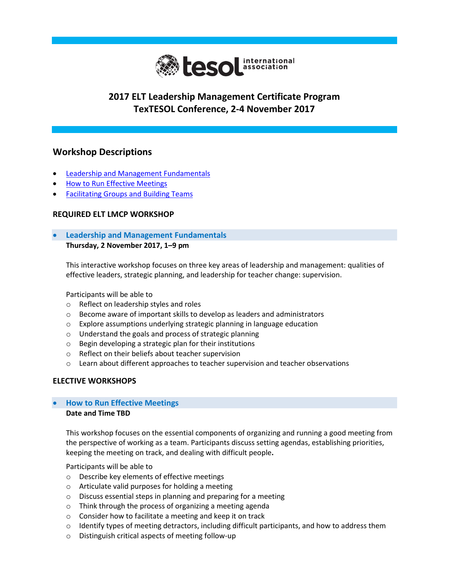

## **2017 ELT Leadership Management Certificate Program TexTESOL Conference, 2-4 November 2017**

## **Workshop Descriptions**

- [Leadership and Management Fundamentals](#page-0-0)
- [How to Run Effective Meetings](#page-0-1)
- **[Facilitating Groups and Building Teams](#page-1-0)**

#### **REQUIRED ELT LMCP WORKSHOP**

### <span id="page-0-0"></span> **Leadership and Management Fundamentals Thursday, 2 November 2017, 1–9 pm**

This interactive workshop focuses on three key areas of leadership and management: qualities of effective leaders, strategic planning, and leadership for teacher change: supervision.

Participants will be able to

- o Reflect on leadership styles and roles
- o Become aware of important skills to develop as leaders and administrators
- o Explore assumptions underlying strategic planning in language education
- o Understand the goals and process of strategic planning
- o Begin developing a strategic plan for their institutions
- o Reflect on their beliefs about teacher supervision
- $\circ$  Learn about different approaches to teacher supervision and teacher observations

### **ELECTIVE WORKSHOPS**

# <span id="page-0-1"></span>**How to Run Effective Meetings**

#### **Date and Time TBD**

This workshop focuses on the essential components of organizing and running a good meeting from the perspective of working as a team. Participants discuss setting agendas, establishing priorities, keeping the meeting on track, and dealing with difficult people**.**

Participants will be able to

- o Describe key elements of effective meetings
- o Articulate valid purposes for holding a meeting
- o Discuss essential steps in planning and preparing for a meeting
- o Think through the process of organizing a meeting agenda
- o Consider how to facilitate a meeting and keep it on track
- $\circ$  Identify types of meeting detractors, including difficult participants, and how to address them
- o Distinguish critical aspects of meeting follow-up